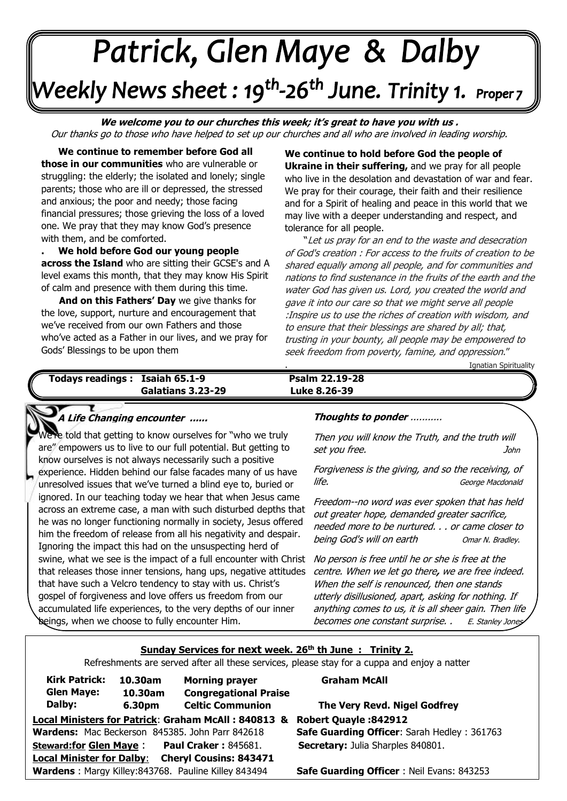# Patrick, Glen Maye & Dalby Weekly News sheet : 19<sup>th</sup>-26<sup>th</sup> June. Trinity 1. Proper 7 --

**We welcome you to our churches this week; it's great to have you with us .**  Our thanks go to those who have helped to set up our churches and all who are involved in leading worship.

**. We continue to remember before God all those in our communities** who are vulnerable or struggling: the elderly; the isolated and lonely; single parents; those who are ill or depressed, the stressed and anxious; the poor and needy; those facing financial pressures; those grieving the loss of a loved one. We pray that they may know God's presence with them, and be comforted.

J

**. We hold before God our young people across the Island** who are sitting their GCSE's and A level exams this month, that they may know His Spirit of calm and presence with them during this time.

 **And on this Fathers' Day** we give thanks for the love, support, nurture and encouragement that we've received from our own Fathers and those who've acted as a Father in our lives, and we pray for Gods' Blessings to be upon them

**We continue to hold before God the people of Ukraine in their suffering,** and we pray for all people who live in the desolation and devastation of war and fear. We pray for their courage, their faith and their resilience and for a Spirit of healing and peace in this world that we may live with a deeper understanding and respect, and tolerance for all people.

 "Let us pray for an end to the waste and desecration of God's creation : For access to the fruits of creation to be shared equally among all people, and for communities and nations to find sustenance in the fruits of the earth and the water God has given us. Lord, you created the world and gave it into our care so that we might serve all people :Inspire us to use the riches of creation with wisdom, and to ensure that their blessings are shared by all; that, trusting in your bounty, all people may be empowered to seek freedom from poverty, famine, and oppression."

. Ignatian Spirituality

#### **Todays readings : Isaiah 65.1-9 Galatians 3.23-29 Luke 8.26-39** Psalm 22.19-28

### **A Life Changing encounter ...... Thoughts to ponder** ...........

 know ourselves is not always necessarily such a positive experience. Hidden behind our false facades many of us have  Ignoring the impact this had on the unsuspecting herd of  that releases those inner tensions, hang ups, negative attitudes  gospel of forgiveness and love offers us freedom from our  accumulated life experiences, to the very depths of our inner e told that getting to know ourselves for "who we truly are" empowers us to live to our full potential. But getting to unresolved issues that we've turned a blind eye to, buried or ignored. In our teaching today we hear that when Jesus came across an extreme case, a man with such disturbed depths that he was no longer functioning normally in society, Jesus offered him the freedom of release from all his negativity and despair. swine, what we see is the impact of a full encounter with Christ that have such a Velcro tendency to stay with us. Christ's beings, when we choose to fully encounter Him.

Then you will know the Truth, and the truth will set you free. John

Forgiveness is the giving, and so the receiving, of life. George Macdonald

Freedom--no word was ever spoken that has held out greater hope, demanded greater sacrifice, needed more to be nurtured. . . or came closer to being God's will on earth Omar N. Bradley.

No person is free until he or she is free at the centre. When we let go there**,** we are free indeed. When the self is renounced, then one stands utterly disillusioned, apart, asking for nothing. If anything comes to us, it is all sheer gain. Then life becomes one constant surprise. . E. Stanley Jones

#### **Sunday Services for next week. 26th th June : Trinity 2.**

Refreshments are served after all these services, please stay for a cuppa and enjoy a natter

| <b>Kirk Patrick:</b>                                              | 10.30am | <b>Morning prayer</b>                           |
|-------------------------------------------------------------------|---------|-------------------------------------------------|
| <b>Glen Maye:</b>                                                 | 10.30am | <b>Congregational Praise</b>                    |
| Dalby:                                                            | 6.30pm  | <b>Celtic Communion</b>                         |
| Local Ministers for Patrick: Graham McAll: 840813 &               |         |                                                 |
|                                                                   |         | Wardens: Mac Beckerson 845385. John Parr 842618 |
| <b>Steward:for Glen Maye:</b>                                     |         | <b>Paul Craker: 845681.</b>                     |
| <b>Cheryl Cousins: 843471</b><br><b>Local Minister for Dalby:</b> |         |                                                 |
| Wardens: Margy Killey:843768. Pauline Killey 843494               |         |                                                 |

#### **Graham McAll**

**Local Ministers for Patrick**: **Graham McAll : 840813 & Robert Quayle :842912 The Very Revd. Nigel Godfrey** 

**Safe Guarding Officer: Sarah Hedley : 361763 Secretary:** Julia Sharples 840801.

**Safe Guarding Officer** : Neil Evans: 843253